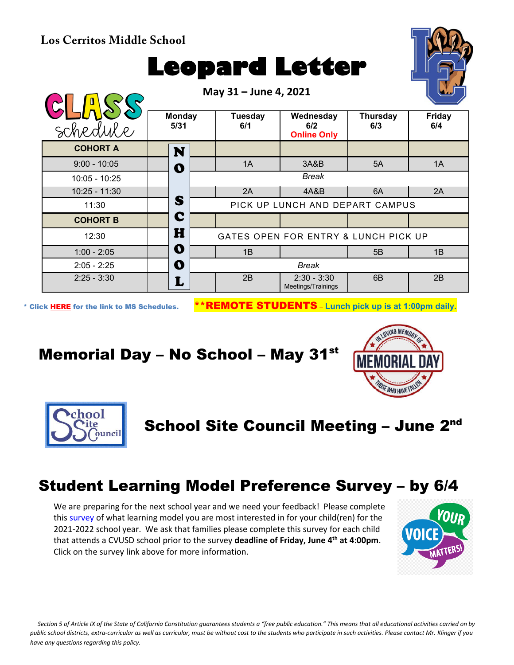#### **Los Cerritos Middle School**

# **Leopard Letter**



\* Click [HERE](https://www.conejousd.org/Portals/0/Middle%20School%20Monthly%20Calendar%20_FNLl.pdf?ver=2020-11-04-105638-860) for the link to MS Schedules. \*\*REMOTE STUDENTS – **Lunch pick up is at 1:00pm daily.**

## Memorial Day – No School – May 31st





School Site Council Meeting - June 2nd

#### Student Learning Model Preference Survey – by 6/4

We are preparing for the next school year and we need your feedback! Please complete this [survey](https://docs.google.com/document/d/1cjr4J5oQxv25-uHrO3wMwknuKUspXFwTVduG0_DUW4E/edit) of what learning model you are most interested in for your child(ren) for the 2021-2022 school year. We ask that families please complete this survey for each child that attends a CVUSD school prior to the survey **deadline of Friday, June 4th at 4:00pm**. Click on the survey link above for more information.



*Section 5 of Article IX of the State of California Constitution guarantees students a "free public education." This means that all educational activities carried on by public school districts, extra-curricular as well as curricular, must be without cost to the students who participate in such activities. Please contact Mr. Klinger if you have any questions regarding this policy.*